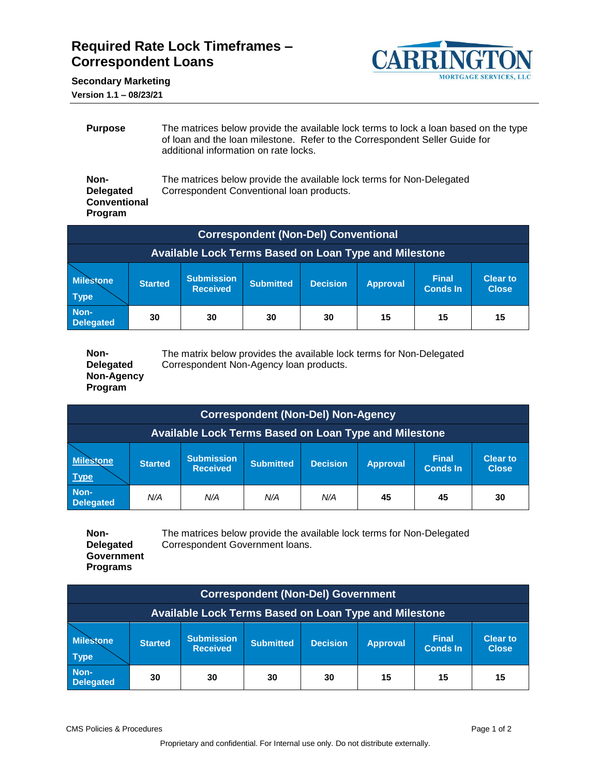## **Required Rate Lock Timeframes – Correspondent Loans**



**Secondary Marketing**

**Version 1.1 – 08/23/21**

| <b>Purpose</b>                                             | The matrices below provide the available lock terms to lock a loan based on the type<br>of loan and the loan milestone. Refer to the Correspondent Seller Guide for<br>additional information on rate locks. |
|------------------------------------------------------------|--------------------------------------------------------------------------------------------------------------------------------------------------------------------------------------------------------------|
| Non-<br><b>Delegated</b><br><b>Conventional</b><br>Program | The matrices below provide the available lock terms for Non-Delegated<br>Correspondent Conventional Ioan products.                                                                                           |

| <b>Correspondent (Non-Del) Conventional</b>           |                                                                                                                                                                                        |  |  |  |  |  |  |  |  |  |  |
|-------------------------------------------------------|----------------------------------------------------------------------------------------------------------------------------------------------------------------------------------------|--|--|--|--|--|--|--|--|--|--|
| Available Lock Terms Based on Loan Type and Milestone |                                                                                                                                                                                        |  |  |  |  |  |  |  |  |  |  |
| <b>Milestone</b><br><b>Type</b>                       | <b>Submission</b><br><b>Final</b><br><b>Clear to</b><br><b>Decision</b><br><b>Submitted</b><br><b>Started</b><br><b>Approval</b><br><b>Received</b><br><b>Conds In</b><br><b>Close</b> |  |  |  |  |  |  |  |  |  |  |
| Non-<br><b>Delegated</b>                              | 15<br>15<br>30<br>15<br>30<br>30<br>30                                                                                                                                                 |  |  |  |  |  |  |  |  |  |  |

| Non-             | The matrix below provides the available lock terms for Non-Delegated |
|------------------|----------------------------------------------------------------------|
| <b>Delegated</b> | Correspondent Non-Agency loan products.                              |
| Non-Agency       |                                                                      |
| <b>Program</b>   |                                                                      |

| <b>Correspondent (Non-Del) Non-Agency</b>             |                                            |                                      |                  |                 |                 |                                 |                                 |  |  |  |
|-------------------------------------------------------|--------------------------------------------|--------------------------------------|------------------|-----------------|-----------------|---------------------------------|---------------------------------|--|--|--|
| Available Lock Terms Based on Loan Type and Milestone |                                            |                                      |                  |                 |                 |                                 |                                 |  |  |  |
| <b>Milestone</b><br><b>Type</b>                       | <b>Started</b>                             | <b>Submission</b><br><b>Received</b> | <b>Submitted</b> | <b>Decision</b> | <b>Approval</b> | <b>Final</b><br><b>Conds In</b> | <b>Clear to</b><br><b>Close</b> |  |  |  |
| Non-<br><b>Delegated</b>                              | N/A<br>N/A<br>N/A<br>N/A<br>45<br>45<br>30 |                                      |                  |                 |                 |                                 |                                 |  |  |  |

**Non-Delegated Government Programs** The matrices below provide the available lock terms for Non-Delegated Correspondent Government loans.

| <b>Correspondent (Non-Del) Government</b>             |                                                                                                                                                                                 |  |  |  |  |  |  |  |  |  |
|-------------------------------------------------------|---------------------------------------------------------------------------------------------------------------------------------------------------------------------------------|--|--|--|--|--|--|--|--|--|
| Available Lock Terms Based on Loan Type and Milestone |                                                                                                                                                                                 |  |  |  |  |  |  |  |  |  |
| <b>Milestone</b><br><b>Type</b>                       | <b>Submission</b><br><b>Final</b><br><b>Clear to</b><br><b>Decision</b><br>Submitted<br><b>Started</b><br><b>Approval</b><br><b>Conds In</b><br><b>Received</b><br><b>Close</b> |  |  |  |  |  |  |  |  |  |
| Non-<br><b>Delegated</b>                              | 15<br>15<br>30<br>15<br>30<br>30<br>30                                                                                                                                          |  |  |  |  |  |  |  |  |  |